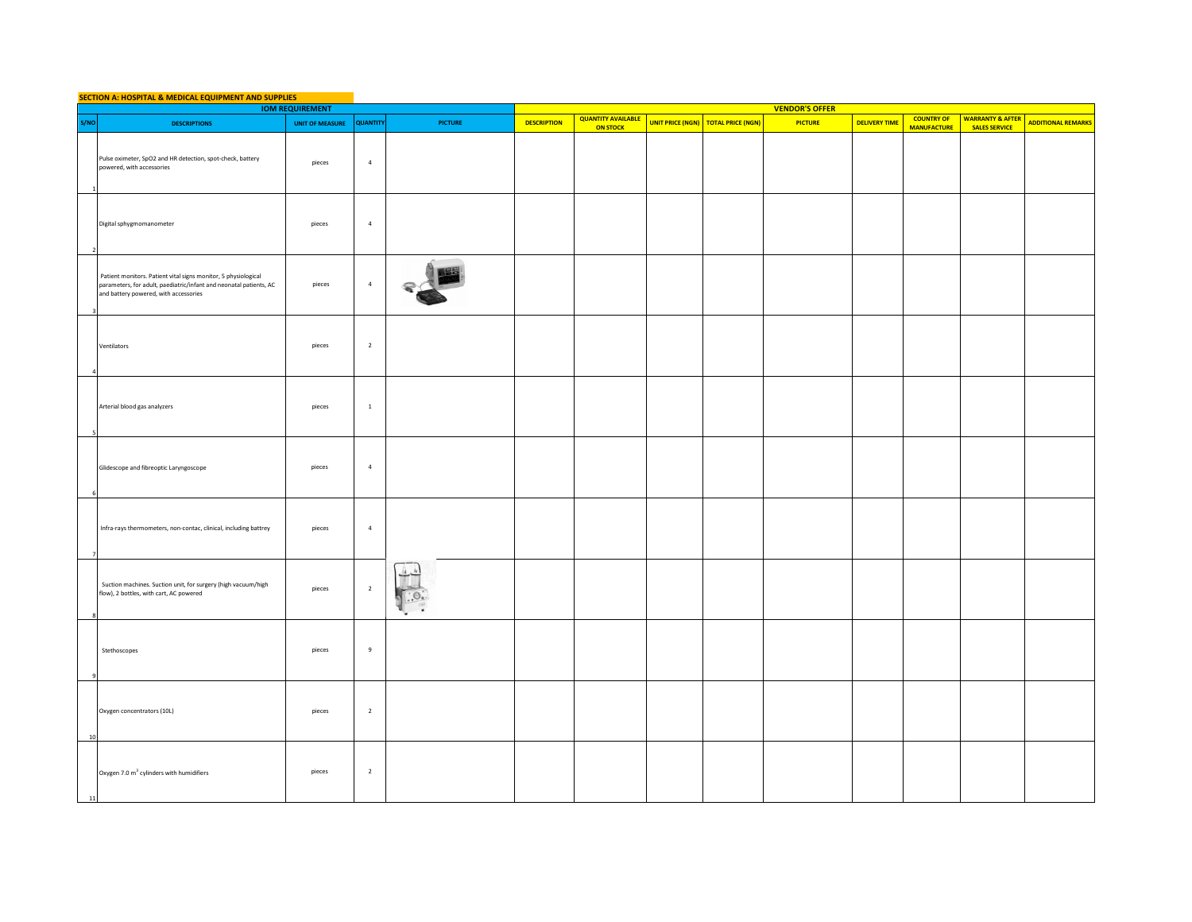| SECTION A: HOSPITAL & MEDICAL EQUIPMENT AND SUPPLIES<br><b>IOM REQUIREMENT</b> |                                                                                                                                                                               |                          |                |                |                    |                           |  |                                    |                       |                      |                    |                             |                           |
|--------------------------------------------------------------------------------|-------------------------------------------------------------------------------------------------------------------------------------------------------------------------------|--------------------------|----------------|----------------|--------------------|---------------------------|--|------------------------------------|-----------------------|----------------------|--------------------|-----------------------------|---------------------------|
|                                                                                |                                                                                                                                                                               |                          |                |                |                    | <b>QUANTITY AVAILABLE</b> |  |                                    | <b>VENDOR'S OFFER</b> |                      | <b>COUNTRY OF</b>  | <b>WARRANTY &amp; AFTER</b> |                           |
| S/NO                                                                           | <b>DESCRIPTIONS</b>                                                                                                                                                           | UNIT OF MEASURE QUANTITY |                | <b>PICTURE</b> | <b>DESCRIPTION</b> | <b>ON STOCK</b>           |  | UNIT PRICE (NGN) TOTAL PRICE (NGN) | <b>PICTURE</b>        | <b>DELIVERY TIME</b> | <b>MANUFACTURE</b> | <b>SALES SERVICE</b>        | <b>ADDITIONAL REMARKS</b> |
|                                                                                | Pulse oximeter, SpO2 and HR detection, spot-check, battery<br>powered, with accessories                                                                                       | pieces                   | $\overline{a}$ |                |                    |                           |  |                                    |                       |                      |                    |                             |                           |
|                                                                                | Digital sphygmomanometer                                                                                                                                                      | pieces                   | $\sqrt{4}$     |                |                    |                           |  |                                    |                       |                      |                    |                             |                           |
|                                                                                | Patient monitors. Patient vital signs monitor, 5 physiological<br>parameters, for adult, paediatric/infant and neonatal patients, AC<br>and battery powered, with accessories | pieces                   | $\sqrt{4}$     |                |                    |                           |  |                                    |                       |                      |                    |                             |                           |
|                                                                                | Ventilators                                                                                                                                                                   | pieces                   | $\overline{2}$ |                |                    |                           |  |                                    |                       |                      |                    |                             |                           |
|                                                                                | Arterial blood gas analyzers                                                                                                                                                  | pieces                   | $\mathbf{1}$   |                |                    |                           |  |                                    |                       |                      |                    |                             |                           |
|                                                                                | Glidescope and fibreoptic Laryngoscope                                                                                                                                        | pieces                   | $\overline{a}$ |                |                    |                           |  |                                    |                       |                      |                    |                             |                           |
|                                                                                | Infra-rays thermometers, non-contac, clinical, including battrey                                                                                                              | pieces                   | $\overline{a}$ |                |                    |                           |  |                                    |                       |                      |                    |                             |                           |
|                                                                                | Suction machines. Suction unit, for surgery (high vacuum/high<br>flow), 2 bottles, with cart, AC powered                                                                      | pieces                   | $\overline{2}$ |                |                    |                           |  |                                    |                       |                      |                    |                             |                           |
|                                                                                | Stethoscopes                                                                                                                                                                  | pieces                   | $\overline{9}$ |                |                    |                           |  |                                    |                       |                      |                    |                             |                           |
| 10                                                                             | Oxygen concentrators (10L)                                                                                                                                                    | pieces                   | $\overline{2}$ |                |                    |                           |  |                                    |                       |                      |                    |                             |                           |
| 11                                                                             | Oxygen 7.0 m <sup>3</sup> cylinders with humidifiers                                                                                                                          | pieces                   | $\overline{2}$ |                |                    |                           |  |                                    |                       |                      |                    |                             |                           |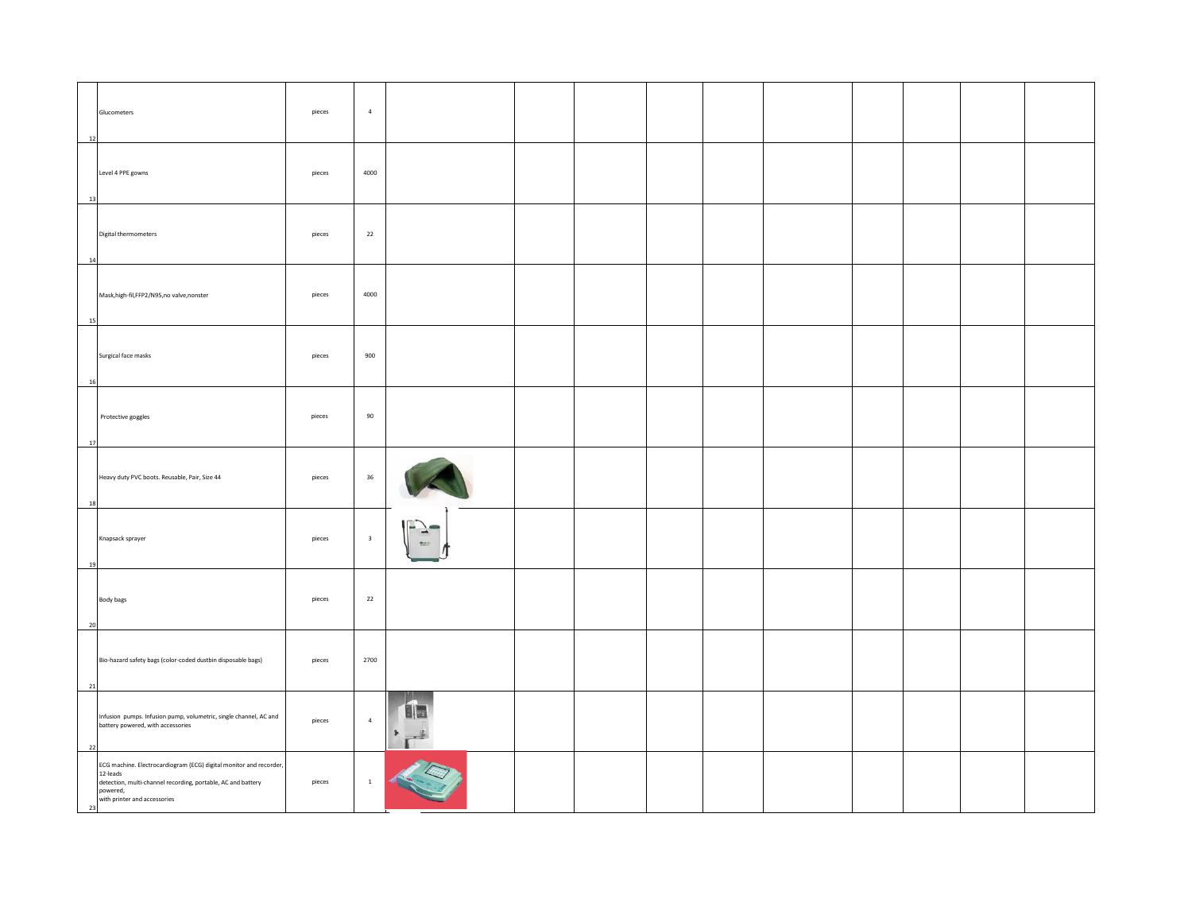| 12 | Glucometers                                                                                                                                                                                | pieces | $\overline{a}$          |                                  |  |  |  |  |
|----|--------------------------------------------------------------------------------------------------------------------------------------------------------------------------------------------|--------|-------------------------|----------------------------------|--|--|--|--|
| 13 | Level 4 PPE gowns                                                                                                                                                                          | pieces | 4000                    |                                  |  |  |  |  |
| 14 | Digital thermometers                                                                                                                                                                       | pieces | 22                      |                                  |  |  |  |  |
| 15 | Mask, high-fil, FFP2/N95, no valve, nonster                                                                                                                                                | pieces | 4000                    |                                  |  |  |  |  |
| 16 | Surgical face masks                                                                                                                                                                        | pieces | 900                     |                                  |  |  |  |  |
| 17 | Protective goggles                                                                                                                                                                         | pieces | 90                      |                                  |  |  |  |  |
| 18 | Heavy duty PVC boots. Reusable, Pair, Size 44                                                                                                                                              | pieces | 36                      |                                  |  |  |  |  |
| 19 | Knapsack sprayer                                                                                                                                                                           | pieces | $\overline{\mathbf{3}}$ | $\Box$                           |  |  |  |  |
| 20 | Body bags                                                                                                                                                                                  | pieces | 22                      |                                  |  |  |  |  |
| 21 | Bio-hazard safety bags (color-coded dustbin disposable bags)                                                                                                                               | pieces | 2700                    |                                  |  |  |  |  |
| 22 | Infusion pumps. Infusion pump, volumetric, single channel, AC and<br>battery powered, with accessories                                                                                     | pieces | $\overline{4}$          | 日医<br>Þ.<br>$\mathbf{r}^{\perp}$ |  |  |  |  |
| 23 | ECG machine. Electrocardiogram (ECG) digital monitor and recorder,<br>12-leads<br>detection, multi-channel recording, portable, AC and battery<br>powered,<br>with printer and accessories | pieces | $\mathbf 1$             |                                  |  |  |  |  |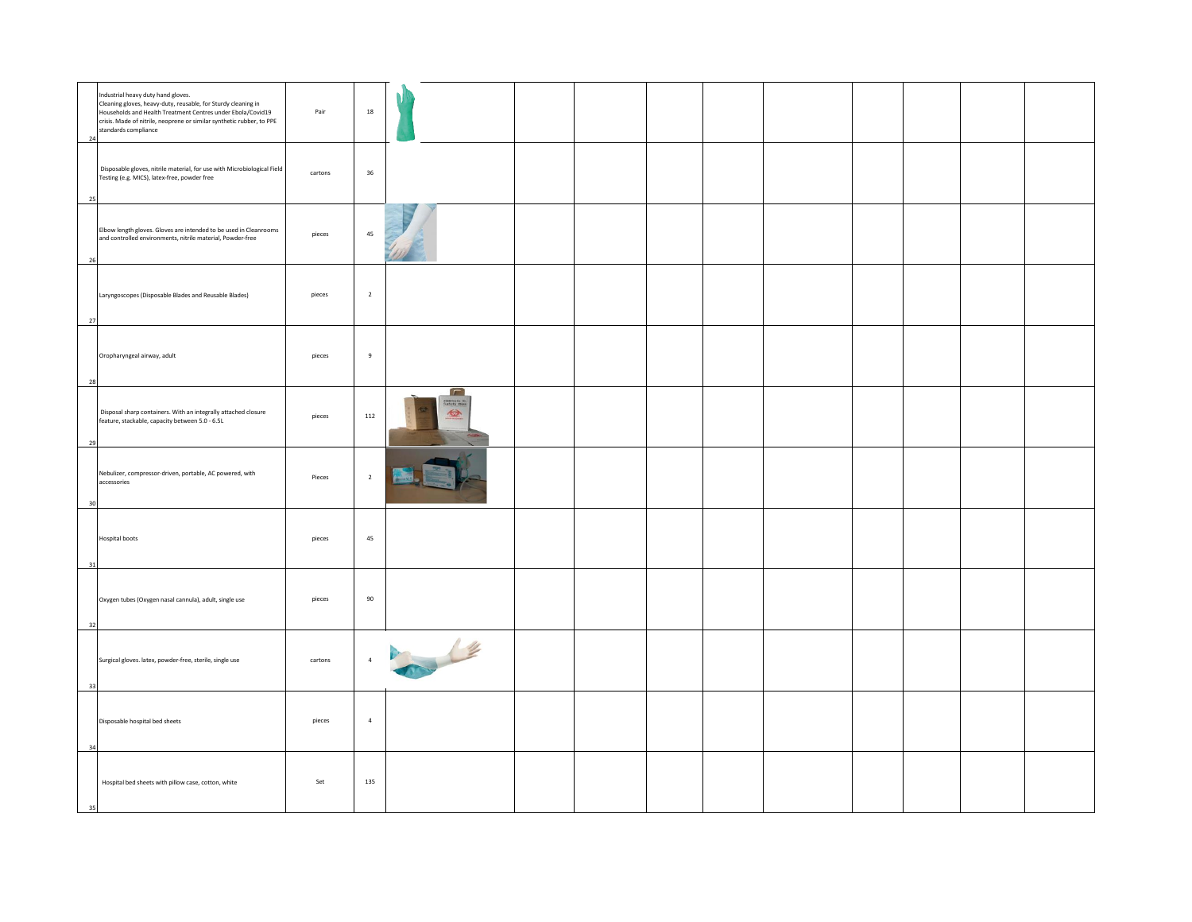| Industrial heavy duty hand gloves.<br>Cleaning gloves, heavy-duty, reusable, for Sturdy cleaning in<br>Households and Health Treatment Centres under Ebola/Covid19<br>crisis. Made of nitrile, neoprene or similar synthetic rubber, to PPE<br>standards compliance<br>24 | Pair    | 18             |                                             |  |  |  |
|---------------------------------------------------------------------------------------------------------------------------------------------------------------------------------------------------------------------------------------------------------------------------|---------|----------------|---------------------------------------------|--|--|--|
| Disposable gloves, nitrile material, for use with Microbiological Field<br>Testing (e.g. MICS), latex-free, powder free<br>25                                                                                                                                             | cartons | 36             |                                             |  |  |  |
| Elbow length gloves. Gloves are intended to be used in Cleanrooms<br>and controlled environments, nitrile material, Powder-free<br>26                                                                                                                                     | pieces  | 45             |                                             |  |  |  |
| Laryngoscopes (Disposable Blades and Reusable Blades)<br>27                                                                                                                                                                                                               | pieces  | $\overline{2}$ |                                             |  |  |  |
| Oropharyngeal airway, adult<br>28                                                                                                                                                                                                                                         | pieces  | $\overline{9}$ |                                             |  |  |  |
| Disposal sharp containers. With an integrally attached closure<br>feature, stackable, capacity between 5.0 - 6.5L<br>29                                                                                                                                                   | pieces  | 112            | $\Gamma$<br>rimetiafe 31<br>Lafety Mex<br>金 |  |  |  |
| Nebulizer, compressor-driven, portable, AC powered, with<br>accessories                                                                                                                                                                                                   | Pieces  | $\overline{2}$ |                                             |  |  |  |
| Hospital boots<br>31                                                                                                                                                                                                                                                      | pieces  | 45             |                                             |  |  |  |
| Oxygen tubes (Oxygen nasal cannula), adult, single use<br>32                                                                                                                                                                                                              | pieces  | 90             |                                             |  |  |  |
| Surgical gloves. latex, powder-free, sterile, single use<br>33                                                                                                                                                                                                            | cartons | $\sqrt{4}$     | a le                                        |  |  |  |
| Disposable hospital bed sheets<br>34                                                                                                                                                                                                                                      | pieces  | $\overline{4}$ |                                             |  |  |  |
| Hospital bed sheets with pillow case, cotton, white<br>25                                                                                                                                                                                                                 | Set     | 135            |                                             |  |  |  |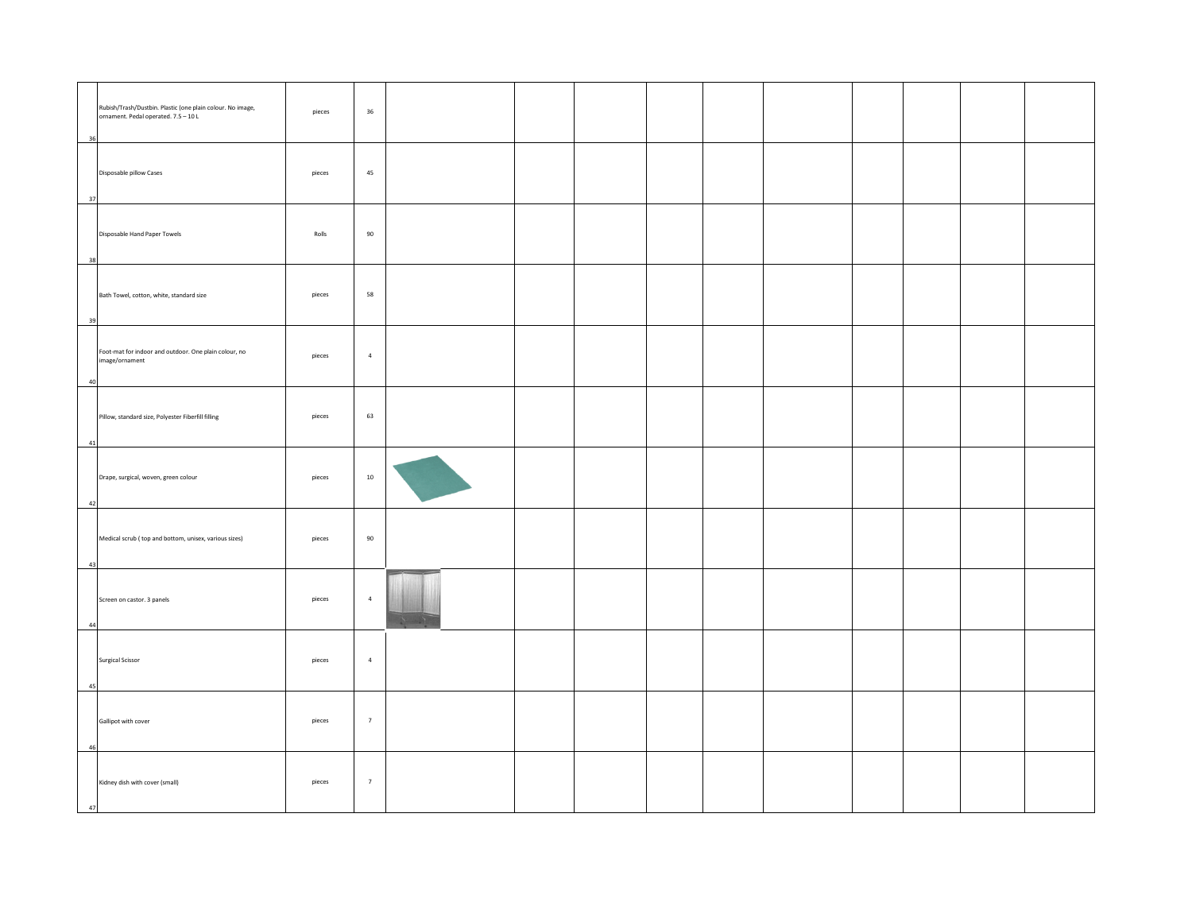| Rubish/Trash/Dustbin. Plastic (one plain colour. No image,<br>ornament. Pedal operated. 7.5 - 10 L | pieces | 36             |  |  |  |  |  |
|----------------------------------------------------------------------------------------------------|--------|----------------|--|--|--|--|--|
| 36                                                                                                 |        |                |  |  |  |  |  |
| Disposable pillow Cases                                                                            | pieces | 45             |  |  |  |  |  |
| 37                                                                                                 |        |                |  |  |  |  |  |
| Disposable Hand Paper Towels                                                                       | Rolls  | 90             |  |  |  |  |  |
| 38                                                                                                 |        |                |  |  |  |  |  |
|                                                                                                    |        |                |  |  |  |  |  |
| Bath Towel, cotton, white, standard size                                                           | pieces | 58             |  |  |  |  |  |
| 39                                                                                                 |        |                |  |  |  |  |  |
| Foot-mat for indoor and outdoor. One plain colour, no<br>image/ornament                            | pieces | $\overline{4}$ |  |  |  |  |  |
| 40                                                                                                 |        |                |  |  |  |  |  |
|                                                                                                    |        |                |  |  |  |  |  |
| Pillow, standard size, Polyester Fiberfill filling                                                 | pieces | 63             |  |  |  |  |  |
| 41                                                                                                 |        |                |  |  |  |  |  |
| Drape, surgical, woven, green colour                                                               | pieces | $10\,$         |  |  |  |  |  |
| 42                                                                                                 |        |                |  |  |  |  |  |
| Medical scrub (top and bottom, unisex, various sizes)                                              | pieces | 90             |  |  |  |  |  |
| 43                                                                                                 |        |                |  |  |  |  |  |
|                                                                                                    |        |                |  |  |  |  |  |
| Screen on castor. 3 panels                                                                         | pieces | $\overline{4}$ |  |  |  |  |  |
| 44                                                                                                 |        |                |  |  |  |  |  |
| <b>Surgical Scissor</b>                                                                            | pieces | $\overline{4}$ |  |  |  |  |  |
| 45                                                                                                 |        |                |  |  |  |  |  |
|                                                                                                    |        |                |  |  |  |  |  |
| Gallipot with cover                                                                                | pieces | $\overline{7}$ |  |  |  |  |  |
| 46                                                                                                 |        |                |  |  |  |  |  |
| Kidney dish with cover (small)                                                                     | pieces | $\overline{7}$ |  |  |  |  |  |
| 47                                                                                                 |        |                |  |  |  |  |  |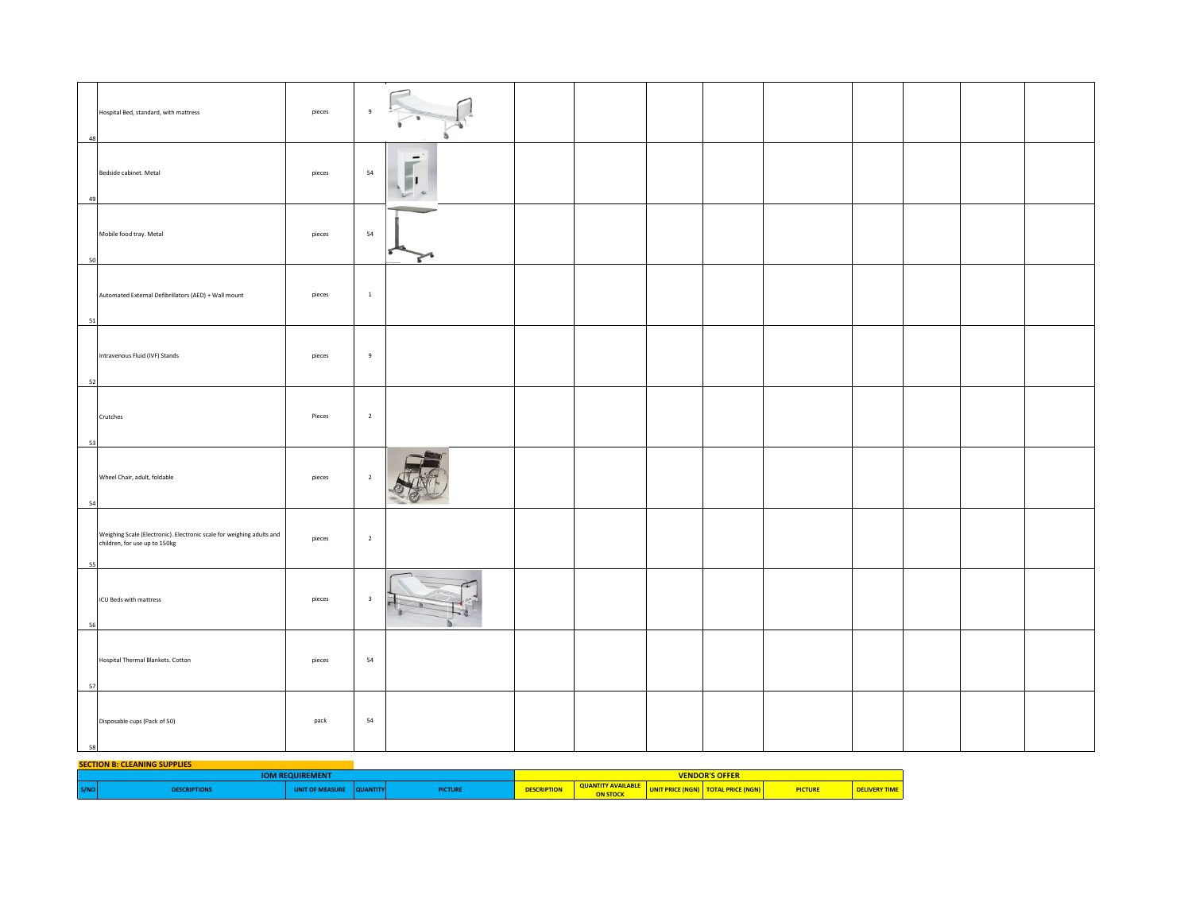| Hospital Bed, standard, with mattress<br>48                                                                  | pieces | $\overline{9}$                                        |  |  |  |  |  |
|--------------------------------------------------------------------------------------------------------------|--------|-------------------------------------------------------|--|--|--|--|--|
| Bedside cabinet. Metal<br>49                                                                                 | pieces | $\overline{\phantom{0}}$<br>54<br>$\ddot{\mathbf{v}}$ |  |  |  |  |  |
| Mobile food tray. Metal<br>50                                                                                | pieces | 54<br>s                                               |  |  |  |  |  |
| Automated External Defibrillators (AED) + Wall mount<br>51                                                   | pieces | $\mathbf 1$                                           |  |  |  |  |  |
| Intravenous Fluid (IVF) Stands<br>52                                                                         | pieces | $\overline{9}$                                        |  |  |  |  |  |
| Crutches<br>53                                                                                               | Pieces | $\overline{2}$                                        |  |  |  |  |  |
| Wheel Chair, adult, foldable<br>54                                                                           | pieces | $\overline{2}$                                        |  |  |  |  |  |
| Weighing Scale (Electronic). Electronic scale for weighing adults and<br>children, for use up to 150kg<br>55 | pieces | $\overline{2}$                                        |  |  |  |  |  |
| ICU Beds with mattress<br>56                                                                                 | pieces | $\overline{\mathbf{3}}$                               |  |  |  |  |  |
| Hospital Thermal Blankets. Cotton<br>57                                                                      | pieces | 54                                                    |  |  |  |  |  |
| Disposable cups (Pack of 50)<br>58                                                                           | pack   | 54                                                    |  |  |  |  |  |

## **SECTION B: CLEANING SUPPLIES**

|                                                                                            | <b>SOFF</b> DESCRIPTION OF REAL PROPERTY.<br>ENDUR |  |  |  |  |  |  |  |
|--------------------------------------------------------------------------------------------|----------------------------------------------------|--|--|--|--|--|--|--|
| S/NO<br><b>ICTUR</b><br><b>ESCRIPTION</b><br><b>ATITY</b><br><b>RIPTION</b><br>тотл<br>чик | PICTUR                                             |  |  |  |  |  |  |  |